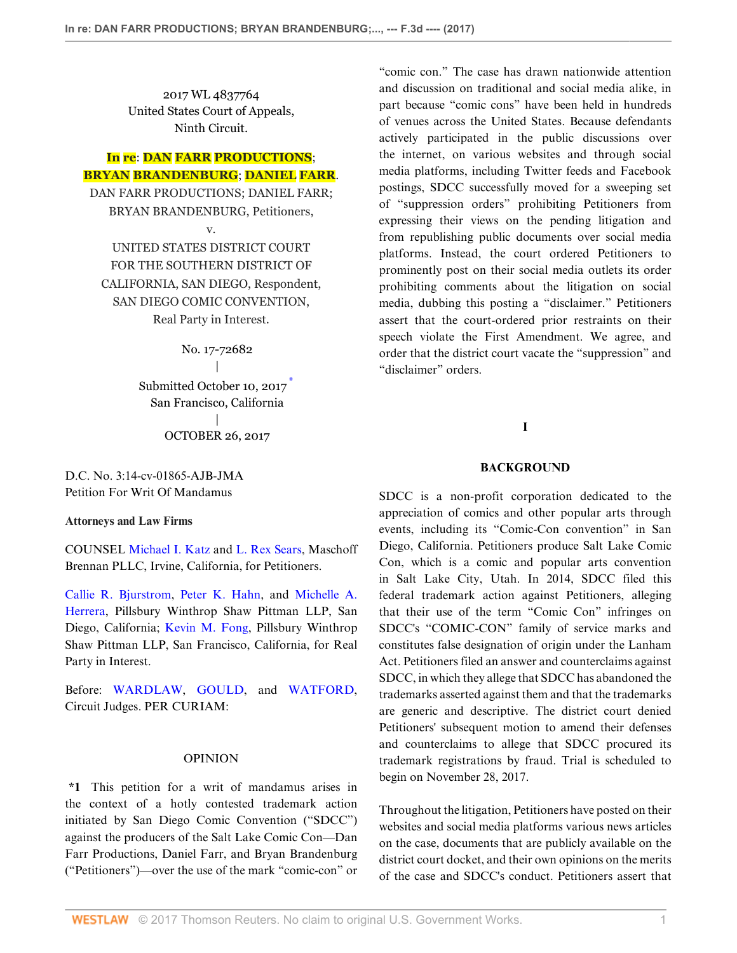2017 WL 4837764 United States Court of Appeals, Ninth Circuit.

# **In re**: **DAN FARR PRODUCTIONS**; **BRYAN BRANDENBURG**; **DANIEL FARR**.

DAN FARR PRODUCTIONS; DANIEL FARR; BRYAN BRANDENBURG, Petitioners,

v.

UNITED STATES DISTRICT COURT FOR THE SOUTHERN DISTRICT OF CALIFORNIA, SAN DIEGO, Respondent, SAN DIEGO COMIC CONVENTION, Real Party in Interest.

> No. 17-72682  $\overline{\phantom{a}}$ Submitted October 10, 2017 San Francisco, California | OCTOBER 26, 2017

D.C. No. 3:14-cv-01865-AJB-JMA Petition For Writ Of Mandamus

#### **Attorneys and Law Firms**

COUNSEL [Michael I. Katz](http://www.westlaw.com/Link/Document/FullText?findType=h&pubNum=176284&cite=0136865801&originatingDoc=Ie8ff7840baab11e7b38a81315a4346f0&refType=RQ&originationContext=document&vr=3.0&rs=cblt1.0&transitionType=DocumentItem&contextData=(sc.Search)) and [L. Rex Sears,](http://www.westlaw.com/Link/Document/FullText?findType=h&pubNum=176284&cite=0383353901&originatingDoc=Ie8ff7840baab11e7b38a81315a4346f0&refType=RQ&originationContext=document&vr=3.0&rs=cblt1.0&transitionType=DocumentItem&contextData=(sc.Search)) Maschoff Brennan PLLC, Irvine, California, for Petitioners.

[Callie R. Bjurstrom](http://www.westlaw.com/Link/Document/FullText?findType=h&pubNum=176284&cite=0155412101&originatingDoc=Ie8ff7840baab11e7b38a81315a4346f0&refType=RQ&originationContext=document&vr=3.0&rs=cblt1.0&transitionType=DocumentItem&contextData=(sc.Search)), [Peter K. Hahn,](http://www.westlaw.com/Link/Document/FullText?findType=h&pubNum=176284&cite=0194594701&originatingDoc=Ie8ff7840baab11e7b38a81315a4346f0&refType=RQ&originationContext=document&vr=3.0&rs=cblt1.0&transitionType=DocumentItem&contextData=(sc.Search)) and [Michelle A.](http://www.westlaw.com/Link/Document/FullText?findType=h&pubNum=176284&cite=0328338601&originatingDoc=Ie8ff7840baab11e7b38a81315a4346f0&refType=RQ&originationContext=document&vr=3.0&rs=cblt1.0&transitionType=DocumentItem&contextData=(sc.Search)) [Herrera,](http://www.westlaw.com/Link/Document/FullText?findType=h&pubNum=176284&cite=0328338601&originatingDoc=Ie8ff7840baab11e7b38a81315a4346f0&refType=RQ&originationContext=document&vr=3.0&rs=cblt1.0&transitionType=DocumentItem&contextData=(sc.Search)) Pillsbury Winthrop Shaw Pittman LLP, San Diego, California; [Kevin M. Fong](http://www.westlaw.com/Link/Document/FullText?findType=h&pubNum=176284&cite=0188213001&originatingDoc=Ie8ff7840baab11e7b38a81315a4346f0&refType=RQ&originationContext=document&vr=3.0&rs=cblt1.0&transitionType=DocumentItem&contextData=(sc.Search)), Pillsbury Winthrop Shaw Pittman LLP, San Francisco, California, for Real Party in Interest.

Before: [WARDLAW,](http://www.westlaw.com/Link/Document/FullText?findType=h&pubNum=176284&cite=0231873901&originatingDoc=Ie8ff7840baab11e7b38a81315a4346f0&refType=RQ&originationContext=document&vr=3.0&rs=cblt1.0&transitionType=DocumentItem&contextData=(sc.Search)) [GOULD,](http://www.westlaw.com/Link/Document/FullText?findType=h&pubNum=176284&cite=0112757401&originatingDoc=Ie8ff7840baab11e7b38a81315a4346f0&refType=RQ&originationContext=document&vr=3.0&rs=cblt1.0&transitionType=DocumentItem&contextData=(sc.Search)) and [WATFORD](http://www.westlaw.com/Link/Document/FullText?findType=h&pubNum=176284&cite=0322080001&originatingDoc=Ie8ff7840baab11e7b38a81315a4346f0&refType=RQ&originationContext=document&vr=3.0&rs=cblt1.0&transitionType=DocumentItem&contextData=(sc.Search)), Circuit Judges. PER CURIAM:

#### OPINION

**\*1** This petition for a writ of mandamus arises in the context of a hotly contested trademark action initiated by San Diego Comic Convention ("SDCC") against the producers of the Salt Lake Comic Con—Dan Farr Productions, Daniel Farr, and Bryan Brandenburg ("Petitioners")—over the use of the mark "comic-con" or

"comic con." The case has drawn nationwide attention and discussion on traditional and social media alike, in part because "comic cons" have been held in hundreds of venues across the United States. Because defendants actively participated in the public discussions over the internet, on various websites and through social media platforms, including Twitter feeds and Facebook postings, SDCC successfully moved for a sweeping set of "suppression orders" prohibiting Petitioners from expressing their views on the pending litigation and from republishing public documents over social media platforms. Instead, the court ordered Petitioners to prominently post on their social media outlets its order prohibiting comments about the litigation on social media, dubbing this posting a "disclaimer." Petitioners assert that the court-ordered prior restraints on their speech violate the First Amendment. We agree, and order that the district court vacate the "suppression" and "disclaimer" orders.

### **I**

#### **BACKGROUND**

<span id="page-0-0"></span>SDCC is a non-profit corporation dedicated to the appreciation of comics and other popular arts through events, including its "Comic-Con convention" in San Diego, California. Petitioners produce Salt Lake Comic Con, which is a comic and popular arts convention in Salt Lake City, Utah. In 2014, SDCC filed this federal trademark action against Petitioners, alleging that their use of the term "Comic Con" infringes on SDCC's "COMIC-CON" family of service marks and constitutes false designation of origin under the Lanham Act. Petitioners filed an answer and counterclaims against SDCC, in which they allege that SDCC has abandoned the trademarks asserted against them and that the trademarks are generic and descriptive. The district court denied Petitioners' subsequent motion to amend their defenses and counterclaims to allege that SDCC procured its trademark registrations by fraud. Trial is scheduled to begin on November 28, 2017.

Throughout the litigation, Petitioners have posted on their websites and social media platforms various news articles on the case, documents that are publicly available on the district court docket, and their own opinions on the merits of the case and SDCC's conduct. Petitioners assert that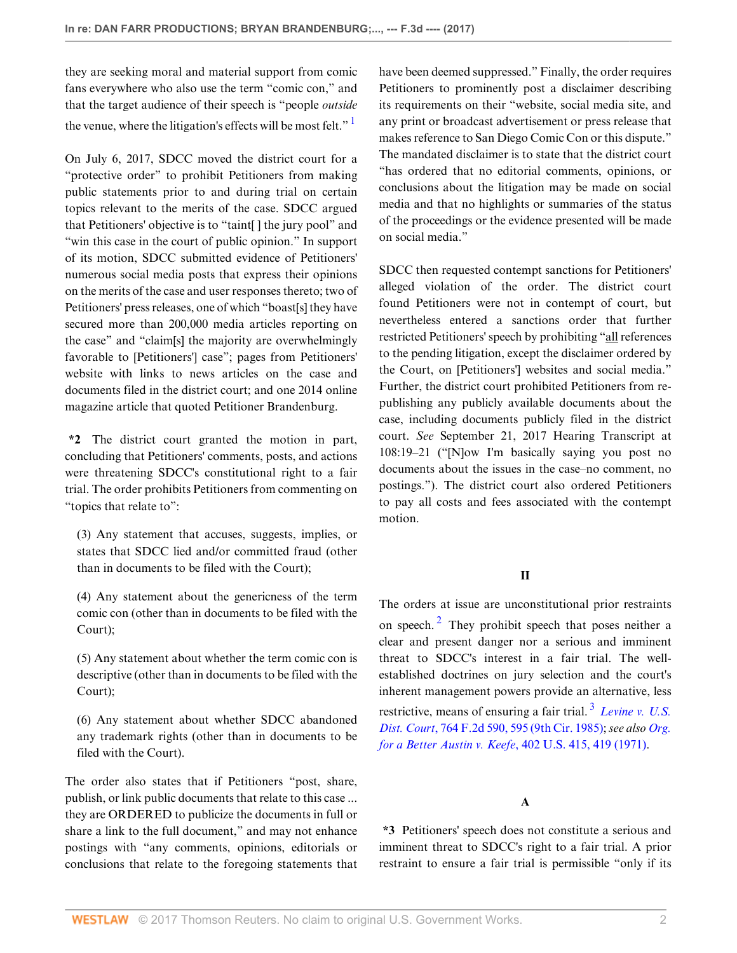they are seeking moral and material support from comic fans everywhere who also use the term "comic con," and that the target audience of their speech is "people *outside* the venue, where the litigation's effects will be most felt."

On July 6, 2017, SDCC moved the district court for a "protective order" to prohibit Petitioners from making public statements prior to and during trial on certain topics relevant to the merits of the case. SDCC argued that Petitioners' objective is to "taint[ ] the jury pool" and "win this case in the court of public opinion." In support of its motion, SDCC submitted evidence of Petitioners' numerous social media posts that express their opinions on the merits of the case and user responses thereto; two of Petitioners' press releases, one of which "boast[s] they have secured more than 200,000 media articles reporting on the case" and "claim[s] the majority are overwhelmingly favorable to [Petitioners'] case"; pages from Petitioners' website with links to news articles on the case and documents filed in the district court; and one 2014 online magazine article that quoted Petitioner Brandenburg.

**\*2** The district court granted the motion in part, concluding that Petitioners' comments, posts, and actions were threatening SDCC's constitutional right to a fair trial. The order prohibits Petitioners from commenting on "topics that relate to":

(3) Any statement that accuses, suggests, implies, or states that SDCC lied and/or committed fraud (other than in documents to be filed with the Court);

(4) Any statement about the genericness of the term comic con (other than in documents to be filed with the Court);

(5) Any statement about whether the term comic con is descriptive (other than in documents to be filed with the Court);

(6) Any statement about whether SDCC abandoned any trademark rights (other than in documents to be filed with the Court).

The order also states that if Petitioners "post, share, publish, or link public documents that relate to this case ... they are ORDERED to publicize the documents in full or share a link to the full document," and may not enhance postings with "any comments, opinions, editorials or conclusions that relate to the foregoing statements that

<span id="page-1-0"></span>have been deemed suppressed." Finally, the order requires Petitioners to prominently post a disclaimer describing its requirements on their "website, social media site, and any print or broadcast advertisement or press release that makes reference to San Diego Comic Con or this dispute." The mandated disclaimer is to state that the district court "has ordered that no editorial comments, opinions, or conclusions about the litigation may be made on social media and that no highlights or summaries of the status of the proceedings or the evidence presented will be made on social media."

SDCC then requested contempt sanctions for Petitioners' alleged violation of the order. The district court found Petitioners were not in contempt of court, but nevertheless entered a sanctions order that further restricted Petitioners' speech by prohibiting "all references to the pending litigation, except the disclaimer ordered by the Court, on [Petitioners'] websites and social media." Further, the district court prohibited Petitioners from republishing any publicly available documents about the case, including documents publicly filed in the district court. *See* September 21, 2017 Hearing Transcript at 108:19–21 ("[N]ow I'm basically saying you post no documents about the issues in the case–no comment, no postings."). The district court also ordered Petitioners to pay all costs and fees associated with the contempt motion.

# **II**

<span id="page-1-1"></span>The orders at issue are unconstitutional prior restraints on speech. $\frac{2}{3}$  $\frac{2}{3}$  $\frac{2}{3}$  They prohibit speech that poses neither a clear and present danger nor a serious and imminent threat to SDCC's interest in a fair trial. The wellestablished doctrines on jury selection and the court's inherent management powers provide an alternative, less restrictive, means of ensuring a fair trial. [3](#page-4-3) *[Levine v. U.S.](http://www.westlaw.com/Link/Document/FullText?findType=Y&serNum=1985131854&pubNum=0000350&originatingDoc=Ie8ff7840baab11e7b38a81315a4346f0&refType=RP&fi=co_pp_sp_350_595&originationContext=document&vr=3.0&rs=cblt1.0&transitionType=DocumentItem&contextData=(sc.Search)#co_pp_sp_350_595) Dist. Court*[, 764 F.2d 590, 595 \(9th Cir. 1985\)](http://www.westlaw.com/Link/Document/FullText?findType=Y&serNum=1985131854&pubNum=0000350&originatingDoc=Ie8ff7840baab11e7b38a81315a4346f0&refType=RP&fi=co_pp_sp_350_595&originationContext=document&vr=3.0&rs=cblt1.0&transitionType=DocumentItem&contextData=(sc.Search)#co_pp_sp_350_595); *see also [Org.](http://www.westlaw.com/Link/Document/FullText?findType=Y&serNum=1971127069&pubNum=0000780&originatingDoc=Ie8ff7840baab11e7b38a81315a4346f0&refType=RP&fi=co_pp_sp_780_419&originationContext=document&vr=3.0&rs=cblt1.0&transitionType=DocumentItem&contextData=(sc.Search)#co_pp_sp_780_419) [for a Better Austin v. Keefe](http://www.westlaw.com/Link/Document/FullText?findType=Y&serNum=1971127069&pubNum=0000780&originatingDoc=Ie8ff7840baab11e7b38a81315a4346f0&refType=RP&fi=co_pp_sp_780_419&originationContext=document&vr=3.0&rs=cblt1.0&transitionType=DocumentItem&contextData=(sc.Search)#co_pp_sp_780_419)*, 402 U.S. 415, 419 (1971).

# <span id="page-1-2"></span>**A**

**\*3** Petitioners' speech does not constitute a serious and imminent threat to SDCC's right to a fair trial. A prior restraint to ensure a fair trial is permissible "only if its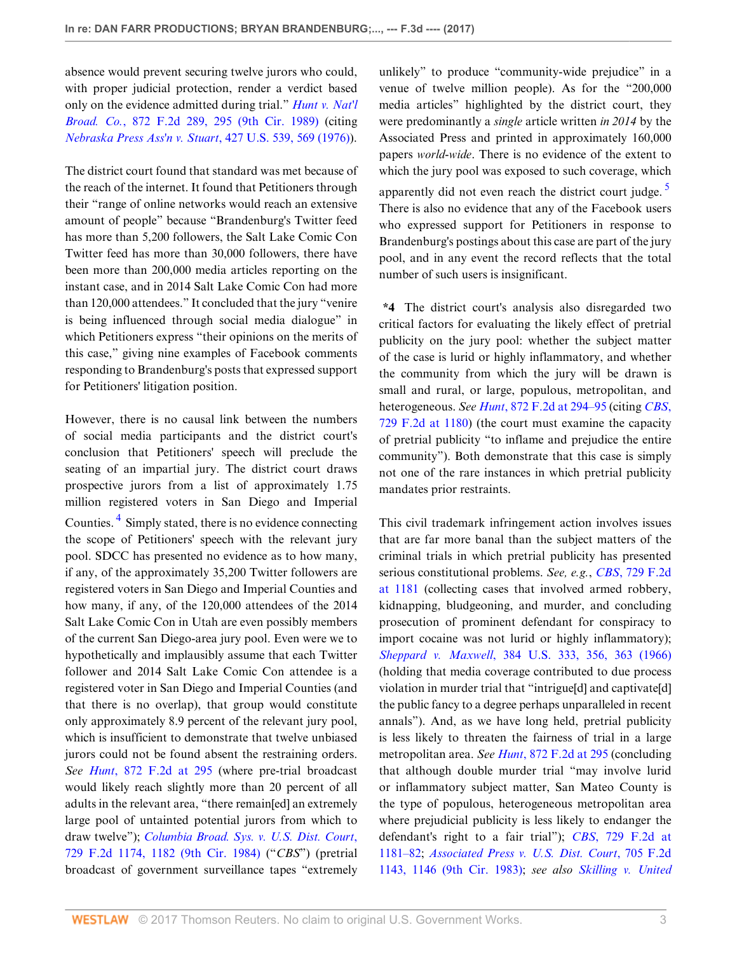absence would prevent securing twelve jurors who could, with proper judicial protection, render a verdict based only on the evidence admitted during trial." *[Hunt v. Nat'l](http://www.westlaw.com/Link/Document/FullText?findType=Y&serNum=1989048993&pubNum=0000350&originatingDoc=Ie8ff7840baab11e7b38a81315a4346f0&refType=RP&fi=co_pp_sp_350_295&originationContext=document&vr=3.0&rs=cblt1.0&transitionType=DocumentItem&contextData=(sc.Search)#co_pp_sp_350_295) Broad. Co.*[, 872 F.2d 289, 295 \(9th Cir. 1989\)](http://www.westlaw.com/Link/Document/FullText?findType=Y&serNum=1989048993&pubNum=0000350&originatingDoc=Ie8ff7840baab11e7b38a81315a4346f0&refType=RP&fi=co_pp_sp_350_295&originationContext=document&vr=3.0&rs=cblt1.0&transitionType=DocumentItem&contextData=(sc.Search)#co_pp_sp_350_295) (citing *[Nebraska Press Ass'n v. Stuart](http://www.westlaw.com/Link/Document/FullText?findType=Y&serNum=1976142442&pubNum=0000780&originatingDoc=Ie8ff7840baab11e7b38a81315a4346f0&refType=RP&fi=co_pp_sp_780_569&originationContext=document&vr=3.0&rs=cblt1.0&transitionType=DocumentItem&contextData=(sc.Search)#co_pp_sp_780_569)*, 427 U.S. 539, 569 (1976)).

The district court found that standard was met because of the reach of the internet. It found that Petitioners through their "range of online networks would reach an extensive amount of people" because "Brandenburg's Twitter feed has more than 5,200 followers, the Salt Lake Comic Con Twitter feed has more than 30,000 followers, there have been more than 200,000 media articles reporting on the instant case, and in 2014 Salt Lake Comic Con had more than 120,000 attendees." It concluded that the jury "venire is being influenced through social media dialogue" in which Petitioners express "their opinions on the merits of this case," giving nine examples of Facebook comments responding to Brandenburg's posts that expressed support for Petitioners' litigation position.

<span id="page-2-0"></span>However, there is no causal link between the numbers of social media participants and the district court's conclusion that Petitioners' speech will preclude the seating of an impartial jury. The district court draws prospective jurors from a list of approximately 1.75 million registered voters in San Diego and Imperial Counties.<sup>[4](#page-4-4)</sup> Simply stated, there is no evidence connecting the scope of Petitioners' speech with the relevant jury pool. SDCC has presented no evidence as to how many, if any, of the approximately 35,200 Twitter followers are registered voters in San Diego and Imperial Counties and how many, if any, of the 120,000 attendees of the 2014 Salt Lake Comic Con in Utah are even possibly members of the current San Diego-area jury pool. Even were we to hypothetically and implausibly assume that each Twitter follower and 2014 Salt Lake Comic Con attendee is a registered voter in San Diego and Imperial Counties (and that there is no overlap), that group would constitute only approximately 8.9 percent of the relevant jury pool, which is insufficient to demonstrate that twelve unbiased jurors could not be found absent the restraining orders. *See Hunt*[, 872 F.2d at 295](http://www.westlaw.com/Link/Document/FullText?findType=Y&serNum=1989048993&pubNum=0000350&originatingDoc=Ie8ff7840baab11e7b38a81315a4346f0&refType=RP&fi=co_pp_sp_350_295&originationContext=document&vr=3.0&rs=cblt1.0&transitionType=DocumentItem&contextData=(sc.Search)#co_pp_sp_350_295) (where pre-trial broadcast would likely reach slightly more than 20 percent of all adults in the relevant area, "there remain[ed] an extremely large pool of untainted potential jurors from which to draw twelve"); *[Columbia Broad. Sys. v. U.S. Dist. Court](http://www.westlaw.com/Link/Document/FullText?findType=Y&serNum=1984116857&pubNum=0000350&originatingDoc=Ie8ff7840baab11e7b38a81315a4346f0&refType=RP&fi=co_pp_sp_350_1182&originationContext=document&vr=3.0&rs=cblt1.0&transitionType=DocumentItem&contextData=(sc.Search)#co_pp_sp_350_1182)*, [729 F.2d 1174, 1182 \(9th Cir. 1984\)](http://www.westlaw.com/Link/Document/FullText?findType=Y&serNum=1984116857&pubNum=0000350&originatingDoc=Ie8ff7840baab11e7b38a81315a4346f0&refType=RP&fi=co_pp_sp_350_1182&originationContext=document&vr=3.0&rs=cblt1.0&transitionType=DocumentItem&contextData=(sc.Search)#co_pp_sp_350_1182) ("*CBS*") (pretrial broadcast of government surveillance tapes "extremely <span id="page-2-1"></span>unlikely" to produce "community-wide prejudice" in a venue of twelve million people). As for the "200,000 media articles" highlighted by the district court, they were predominantly a *single* article written *in 2014* by the Associated Press and printed in approximately 160,000 papers *world-wide*. There is no evidence of the extent to which the jury pool was exposed to such coverage, which apparently did not even reach the district court judge.  $\frac{5}{2}$  $\frac{5}{2}$  $\frac{5}{2}$ There is also no evidence that any of the Facebook users who expressed support for Petitioners in response to Brandenburg's postings about this case are part of the jury pool, and in any event the record reflects that the total number of such users is insignificant.

**\*4** The district court's analysis also disregarded two critical factors for evaluating the likely effect of pretrial publicity on the jury pool: whether the subject matter of the case is lurid or highly inflammatory, and whether the community from which the jury will be drawn is small and rural, or large, populous, metropolitan, and heterogeneous. *See Hunt*[, 872 F.2d at 294–95](http://www.westlaw.com/Link/Document/FullText?findType=Y&serNum=1989048993&pubNum=0000350&originatingDoc=Ie8ff7840baab11e7b38a81315a4346f0&refType=RP&fi=co_pp_sp_350_294&originationContext=document&vr=3.0&rs=cblt1.0&transitionType=DocumentItem&contextData=(sc.Search)#co_pp_sp_350_294) (citing *[CBS](http://www.westlaw.com/Link/Document/FullText?findType=Y&serNum=1984116857&pubNum=0000350&originatingDoc=Ie8ff7840baab11e7b38a81315a4346f0&refType=RP&fi=co_pp_sp_350_1180&originationContext=document&vr=3.0&rs=cblt1.0&transitionType=DocumentItem&contextData=(sc.Search)#co_pp_sp_350_1180)*, [729 F.2d at 1180](http://www.westlaw.com/Link/Document/FullText?findType=Y&serNum=1984116857&pubNum=0000350&originatingDoc=Ie8ff7840baab11e7b38a81315a4346f0&refType=RP&fi=co_pp_sp_350_1180&originationContext=document&vr=3.0&rs=cblt1.0&transitionType=DocumentItem&contextData=(sc.Search)#co_pp_sp_350_1180)) (the court must examine the capacity of pretrial publicity "to inflame and prejudice the entire community"). Both demonstrate that this case is simply not one of the rare instances in which pretrial publicity mandates prior restraints.

This civil trademark infringement action involves issues that are far more banal than the subject matters of the criminal trials in which pretrial publicity has presented serious constitutional problems. *See, e.g.*, *CBS*[, 729 F.2d](http://www.westlaw.com/Link/Document/FullText?findType=Y&serNum=1984116857&pubNum=0000350&originatingDoc=Ie8ff7840baab11e7b38a81315a4346f0&refType=RP&fi=co_pp_sp_350_1181&originationContext=document&vr=3.0&rs=cblt1.0&transitionType=DocumentItem&contextData=(sc.Search)#co_pp_sp_350_1181) [at 1181](http://www.westlaw.com/Link/Document/FullText?findType=Y&serNum=1984116857&pubNum=0000350&originatingDoc=Ie8ff7840baab11e7b38a81315a4346f0&refType=RP&fi=co_pp_sp_350_1181&originationContext=document&vr=3.0&rs=cblt1.0&transitionType=DocumentItem&contextData=(sc.Search)#co_pp_sp_350_1181) (collecting cases that involved armed robbery, kidnapping, bludgeoning, and murder, and concluding prosecution of prominent defendant for conspiracy to import cocaine was not lurid or highly inflammatory); *Sheppard v. Maxwell*[, 384 U.S. 333, 356, 363 \(1966\)](http://www.westlaw.com/Link/Document/FullText?findType=Y&serNum=1966105028&pubNum=0000780&originatingDoc=Ie8ff7840baab11e7b38a81315a4346f0&refType=RP&fi=co_pp_sp_780_356&originationContext=document&vr=3.0&rs=cblt1.0&transitionType=DocumentItem&contextData=(sc.Search)#co_pp_sp_780_356) (holding that media coverage contributed to due process violation in murder trial that "intrigue[d] and captivate[d] the public fancy to a degree perhaps unparalleled in recent annals"). And, as we have long held, pretrial publicity is less likely to threaten the fairness of trial in a large metropolitan area. *See Hunt*[, 872 F.2d at 295](http://www.westlaw.com/Link/Document/FullText?findType=Y&serNum=1989048993&pubNum=0000350&originatingDoc=Ie8ff7840baab11e7b38a81315a4346f0&refType=RP&fi=co_pp_sp_350_295&originationContext=document&vr=3.0&rs=cblt1.0&transitionType=DocumentItem&contextData=(sc.Search)#co_pp_sp_350_295) (concluding that although double murder trial "may involve lurid or inflammatory subject matter, San Mateo County is the type of populous, heterogeneous metropolitan area where prejudicial publicity is less likely to endanger the defendant's right to a fair trial"); *CBS*[, 729 F.2d at](http://www.westlaw.com/Link/Document/FullText?findType=Y&serNum=1984116857&pubNum=0000350&originatingDoc=Ie8ff7840baab11e7b38a81315a4346f0&refType=RP&fi=co_pp_sp_350_1181&originationContext=document&vr=3.0&rs=cblt1.0&transitionType=DocumentItem&contextData=(sc.Search)#co_pp_sp_350_1181) [1181–82](http://www.westlaw.com/Link/Document/FullText?findType=Y&serNum=1984116857&pubNum=0000350&originatingDoc=Ie8ff7840baab11e7b38a81315a4346f0&refType=RP&fi=co_pp_sp_350_1181&originationContext=document&vr=3.0&rs=cblt1.0&transitionType=DocumentItem&contextData=(sc.Search)#co_pp_sp_350_1181); *[Associated Press v. U.S. Dist. Court](http://www.westlaw.com/Link/Document/FullText?findType=Y&serNum=1983122465&pubNum=0000350&originatingDoc=Ie8ff7840baab11e7b38a81315a4346f0&refType=RP&fi=co_pp_sp_350_1146&originationContext=document&vr=3.0&rs=cblt1.0&transitionType=DocumentItem&contextData=(sc.Search)#co_pp_sp_350_1146)*, 705 F.2d [1143, 1146 \(9th Cir. 1983\)](http://www.westlaw.com/Link/Document/FullText?findType=Y&serNum=1983122465&pubNum=0000350&originatingDoc=Ie8ff7840baab11e7b38a81315a4346f0&refType=RP&fi=co_pp_sp_350_1146&originationContext=document&vr=3.0&rs=cblt1.0&transitionType=DocumentItem&contextData=(sc.Search)#co_pp_sp_350_1146); *see also [Skilling v. United](http://www.westlaw.com/Link/Document/FullText?findType=Y&serNum=2022366723&pubNum=0000780&originatingDoc=Ie8ff7840baab11e7b38a81315a4346f0&refType=RP&fi=co_pp_sp_780_382&originationContext=document&vr=3.0&rs=cblt1.0&transitionType=DocumentItem&contextData=(sc.Search)#co_pp_sp_780_382)*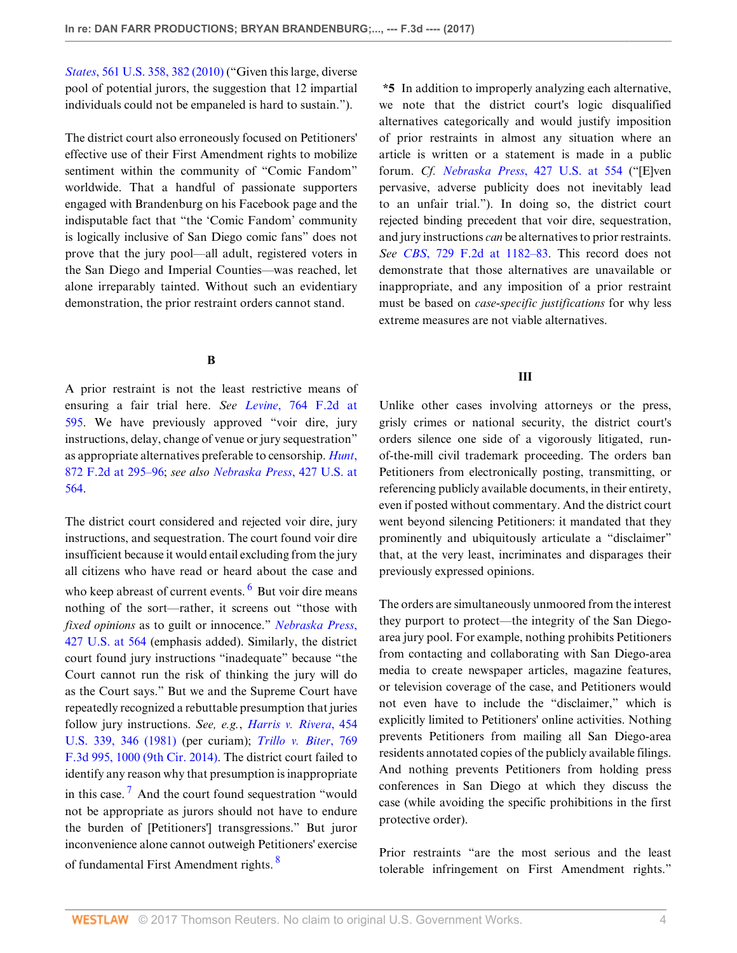*States*[, 561 U.S. 358, 382 \(2010\)](http://www.westlaw.com/Link/Document/FullText?findType=Y&serNum=2022366723&pubNum=0000780&originatingDoc=Ie8ff7840baab11e7b38a81315a4346f0&refType=RP&fi=co_pp_sp_780_382&originationContext=document&vr=3.0&rs=cblt1.0&transitionType=DocumentItem&contextData=(sc.Search)#co_pp_sp_780_382) ("Given this large, diverse pool of potential jurors, the suggestion that 12 impartial individuals could not be empaneled is hard to sustain.").

The district court also erroneously focused on Petitioners' effective use of their First Amendment rights to mobilize sentiment within the community of "Comic Fandom" worldwide. That a handful of passionate supporters engaged with Brandenburg on his Facebook page and the indisputable fact that "the 'Comic Fandom' community is logically inclusive of San Diego comic fans" does not prove that the jury pool—all adult, registered voters in the San Diego and Imperial Counties—was reached, let alone irreparably tainted. Without such an evidentiary demonstration, the prior restraint orders cannot stand.

## **B**

A prior restraint is not the least restrictive means of ensuring a fair trial here. *See Levine*[, 764 F.2d at](http://www.westlaw.com/Link/Document/FullText?findType=Y&serNum=1985131854&pubNum=0000350&originatingDoc=Ie8ff7840baab11e7b38a81315a4346f0&refType=RP&fi=co_pp_sp_350_595&originationContext=document&vr=3.0&rs=cblt1.0&transitionType=DocumentItem&contextData=(sc.Search)#co_pp_sp_350_595) [595](http://www.westlaw.com/Link/Document/FullText?findType=Y&serNum=1985131854&pubNum=0000350&originatingDoc=Ie8ff7840baab11e7b38a81315a4346f0&refType=RP&fi=co_pp_sp_350_595&originationContext=document&vr=3.0&rs=cblt1.0&transitionType=DocumentItem&contextData=(sc.Search)#co_pp_sp_350_595). We have previously approved "voir dire, jury instructions, delay, change of venue or jury sequestration" as appropriate alternatives preferable to censorship. *[Hunt](http://www.westlaw.com/Link/Document/FullText?findType=Y&serNum=1989048993&pubNum=0000350&originatingDoc=Ie8ff7840baab11e7b38a81315a4346f0&refType=RP&fi=co_pp_sp_350_295&originationContext=document&vr=3.0&rs=cblt1.0&transitionType=DocumentItem&contextData=(sc.Search)#co_pp_sp_350_295)*, [872 F.2d at 295–96](http://www.westlaw.com/Link/Document/FullText?findType=Y&serNum=1989048993&pubNum=0000350&originatingDoc=Ie8ff7840baab11e7b38a81315a4346f0&refType=RP&fi=co_pp_sp_350_295&originationContext=document&vr=3.0&rs=cblt1.0&transitionType=DocumentItem&contextData=(sc.Search)#co_pp_sp_350_295); *see also [Nebraska Press](http://www.westlaw.com/Link/Document/FullText?findType=Y&serNum=1976142442&pubNum=0000780&originatingDoc=Ie8ff7840baab11e7b38a81315a4346f0&refType=RP&fi=co_pp_sp_780_564&originationContext=document&vr=3.0&rs=cblt1.0&transitionType=DocumentItem&contextData=(sc.Search)#co_pp_sp_780_564)*, 427 U.S. at [564](http://www.westlaw.com/Link/Document/FullText?findType=Y&serNum=1976142442&pubNum=0000780&originatingDoc=Ie8ff7840baab11e7b38a81315a4346f0&refType=RP&fi=co_pp_sp_780_564&originationContext=document&vr=3.0&rs=cblt1.0&transitionType=DocumentItem&contextData=(sc.Search)#co_pp_sp_780_564).

The district court considered and rejected voir dire, jury instructions, and sequestration. The court found voir dire insufficient because it would entail excluding from the jury all citizens who have read or heard about the case and who keep abreast of current events. <sup>[6](#page-4-6)</sup> But voir dire means nothing of the sort—rather, it screens out "those with *fixed opinions* as to guilt or innocence." *[Nebraska Press](http://www.westlaw.com/Link/Document/FullText?findType=Y&serNum=1976142442&pubNum=0000780&originatingDoc=Ie8ff7840baab11e7b38a81315a4346f0&refType=RP&fi=co_pp_sp_780_564&originationContext=document&vr=3.0&rs=cblt1.0&transitionType=DocumentItem&contextData=(sc.Search)#co_pp_sp_780_564)*, [427 U.S. at 564](http://www.westlaw.com/Link/Document/FullText?findType=Y&serNum=1976142442&pubNum=0000780&originatingDoc=Ie8ff7840baab11e7b38a81315a4346f0&refType=RP&fi=co_pp_sp_780_564&originationContext=document&vr=3.0&rs=cblt1.0&transitionType=DocumentItem&contextData=(sc.Search)#co_pp_sp_780_564) (emphasis added). Similarly, the district court found jury instructions "inadequate" because "the Court cannot run the risk of thinking the jury will do as the Court says." But we and the Supreme Court have repeatedly recognized a rebuttable presumption that juries follow jury instructions. *See, e.g.*, *[Harris v. Rivera](http://www.westlaw.com/Link/Document/FullText?findType=Y&serNum=1981152143&pubNum=0000780&originatingDoc=Ie8ff7840baab11e7b38a81315a4346f0&refType=RP&fi=co_pp_sp_780_346&originationContext=document&vr=3.0&rs=cblt1.0&transitionType=DocumentItem&contextData=(sc.Search)#co_pp_sp_780_346)*, 454 [U.S. 339, 346 \(1981\)](http://www.westlaw.com/Link/Document/FullText?findType=Y&serNum=1981152143&pubNum=0000780&originatingDoc=Ie8ff7840baab11e7b38a81315a4346f0&refType=RP&fi=co_pp_sp_780_346&originationContext=document&vr=3.0&rs=cblt1.0&transitionType=DocumentItem&contextData=(sc.Search)#co_pp_sp_780_346) (per curiam); *[Trillo v. Biter](http://www.westlaw.com/Link/Document/FullText?findType=Y&serNum=2034524666&pubNum=0000506&originatingDoc=Ie8ff7840baab11e7b38a81315a4346f0&refType=RP&fi=co_pp_sp_506_1000&originationContext=document&vr=3.0&rs=cblt1.0&transitionType=DocumentItem&contextData=(sc.Search)#co_pp_sp_506_1000)*, 769 [F.3d 995, 1000 \(9th Cir. 2014\).](http://www.westlaw.com/Link/Document/FullText?findType=Y&serNum=2034524666&pubNum=0000506&originatingDoc=Ie8ff7840baab11e7b38a81315a4346f0&refType=RP&fi=co_pp_sp_506_1000&originationContext=document&vr=3.0&rs=cblt1.0&transitionType=DocumentItem&contextData=(sc.Search)#co_pp_sp_506_1000) The district court failed to identify any reason why that presumption is inappropriate in this case.<sup>[7](#page-4-7)</sup> And the court found sequestration "would not be appropriate as jurors should not have to endure the burden of [Petitioners'] transgressions." But juror inconvenience alone cannot outweigh Petitioners' exercise of fundamental First Amendment rights. [8](#page-4-8)

**\*5** In addition to improperly analyzing each alternative, we note that the district court's logic disqualified alternatives categorically and would justify imposition of prior restraints in almost any situation where an article is written or a statement is made in a public forum. *Cf. Nebraska Press*[, 427 U.S. at 554](http://www.westlaw.com/Link/Document/FullText?findType=Y&serNum=1976142442&pubNum=0000780&originatingDoc=Ie8ff7840baab11e7b38a81315a4346f0&refType=RP&fi=co_pp_sp_780_554&originationContext=document&vr=3.0&rs=cblt1.0&transitionType=DocumentItem&contextData=(sc.Search)#co_pp_sp_780_554) ("[E]ven pervasive, adverse publicity does not inevitably lead to an unfair trial."). In doing so, the district court rejected binding precedent that voir dire, sequestration, and jury instructions *can* be alternatives to prior restraints. *See CBS*[, 729 F.2d at 1182–83.](http://www.westlaw.com/Link/Document/FullText?findType=Y&serNum=1984116857&pubNum=0000350&originatingDoc=Ie8ff7840baab11e7b38a81315a4346f0&refType=RP&fi=co_pp_sp_350_1182&originationContext=document&vr=3.0&rs=cblt1.0&transitionType=DocumentItem&contextData=(sc.Search)#co_pp_sp_350_1182) This record does not demonstrate that those alternatives are unavailable or inappropriate, and any imposition of a prior restraint must be based on *case-specific justifications* for why less extreme measures are not viable alternatives.

# **III**

Unlike other cases involving attorneys or the press, grisly crimes or national security, the district court's orders silence one side of a vigorously litigated, runof-the-mill civil trademark proceeding. The orders ban Petitioners from electronically posting, transmitting, or referencing publicly available documents, in their entirety, even if posted without commentary. And the district court went beyond silencing Petitioners: it mandated that they prominently and ubiquitously articulate a "disclaimer" that, at the very least, incriminates and disparages their previously expressed opinions.

<span id="page-3-0"></span>The orders are simultaneously unmoored from the interest they purport to protect—the integrity of the San Diegoarea jury pool. For example, nothing prohibits Petitioners from contacting and collaborating with San Diego-area media to create newspaper articles, magazine features, or television coverage of the case, and Petitioners would not even have to include the "disclaimer," which is explicitly limited to Petitioners' online activities. Nothing prevents Petitioners from mailing all San Diego-area residents annotated copies of the publicly available filings. And nothing prevents Petitioners from holding press conferences in San Diego at which they discuss the case (while avoiding the specific prohibitions in the first protective order).

<span id="page-3-2"></span><span id="page-3-1"></span>Prior restraints "are the most serious and the least tolerable infringement on First Amendment rights."